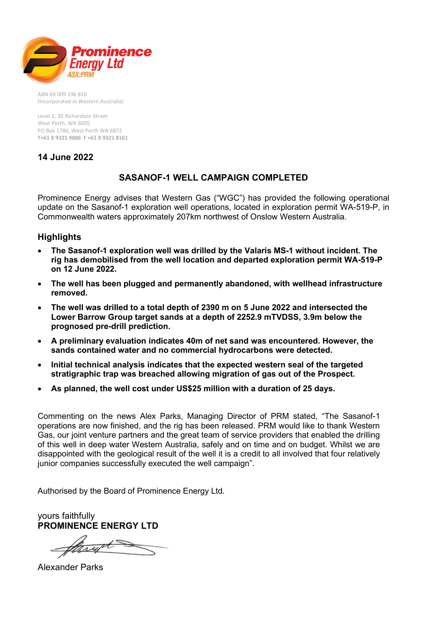

ABN 69 009 196 810 (Incorporated in Western Australia)

Level 2, 30 Richardson Street West Perth, WA 6005 PO Box 1786, West Perth WA 6872 **T+61 8 9321 9886 F +61 8 9321 8161**

**14 June 2022**

## **SASANOF-1 WELL CAMPAIGN COMPLETED**

Prominence Energy advises that Western Gas ("WGC") has provided the following operational update on the Sasanof-1 exploration well operations, located in exploration permit WA-519-P, in Commonwealth waters approximately 207km northwest of Onslow Western Australia.

## **Highlights**

- **The Sasanof-1 exploration well was drilled by the Valaris MS-1 without incident. The rig has demobilised from the well location and departed exploration permit WA-519-P on 12 June 2022.**
- **The well has been plugged and permanently abandoned, with wellhead infrastructure removed.**
- **The well was drilled to a total depth of 2390 m on 5 June 2022 and intersected the Lower Barrow Group target sands at a depth of 2252.9 mTVDSS, 3.9m below the prognosed pre-drill prediction.**
- **A preliminary evaluation indicates 40m of net sand was encountered. However, the sands contained water and no commercial hydrocarbons were detected.**
- **Initial technical analysis indicates that the expected western seal of the targeted stratigraphic trap was breached allowing migration of gas out of the Prospect.**
- **As planned, the well cost under US\$25 million with a duration of 25 days.**

Commenting on the news Alex Parks, Managing Director of PRM stated, "The Sasanof-1 operations are now finished, and the rig has been released. PRM would like to thank Western Gas, our joint venture partners and the great team of service providers that enabled the drilling of this well in deep water Western Australia, safely and on time and on budget. Whilst we are disappointed with the geological result of the well it is a credit to all involved that four relatively junior companies successfully executed the well campaign".

Authorised by the Board of Prominence Energy Ltd.

yours faithfully **PROMINENCE ENERGY LTD**

Alexander Parks